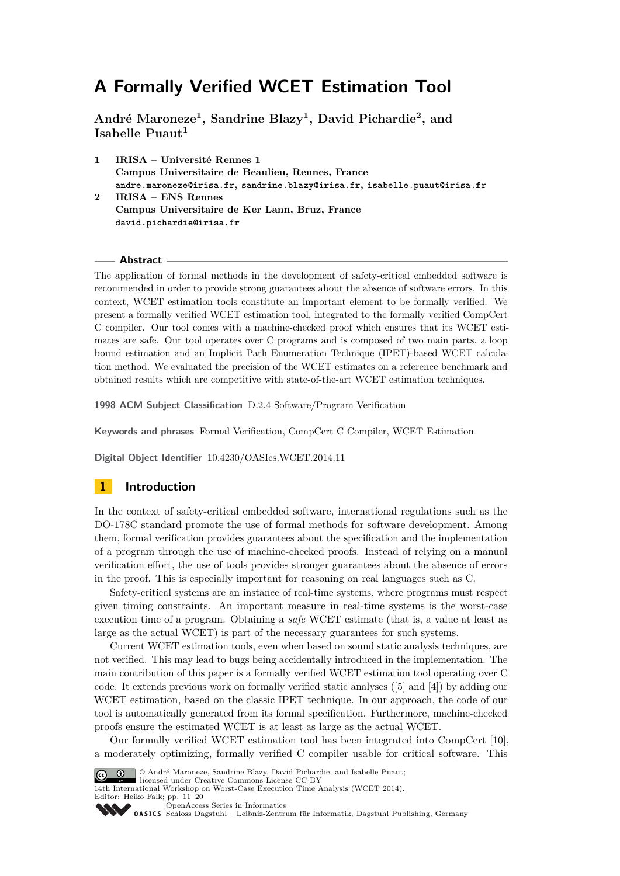**André Maroneze<sup>1</sup> , Sandrine Blazy<sup>1</sup> , David Pichardie<sup>2</sup> , and Isabelle Puaut<sup>1</sup>**

**1 IRISA – Université Rennes 1 Campus Universitaire de Beaulieu, Rennes, France andre.maroneze@irisa.fr, sandrine.blazy@irisa.fr, isabelle.puaut@irisa.fr 2 IRISA – ENS Rennes**

**Campus Universitaire de Ker Lann, Bruz, France david.pichardie@irisa.fr**

#### **Abstract**

The application of formal methods in the development of safety-critical embedded software is recommended in order to provide strong guarantees about the absence of software errors. In this context, WCET estimation tools constitute an important element to be formally verified. We present a formally verified WCET estimation tool, integrated to the formally verified CompCert C compiler. Our tool comes with a machine-checked proof which ensures that its WCET estimates are safe. Our tool operates over C programs and is composed of two main parts, a loop bound estimation and an Implicit Path Enumeration Technique (IPET)-based WCET calculation method. We evaluated the precision of the WCET estimates on a reference benchmark and obtained results which are competitive with state-of-the-art WCET estimation techniques.

**1998 ACM Subject Classification** D.2.4 Software/Program Verification

**Keywords and phrases** Formal Verification, CompCert C Compiler, WCET Estimation

**Digital Object Identifier** [10.4230/OASIcs.WCET.2014.11](http://dx.doi.org/10.4230/OASIcs.WCET.2014.11)

# **1 Introduction**

In the context of safety-critical embedded software, international regulations such as the DO-178C standard promote the use of formal methods for software development. Among them, formal verification provides guarantees about the specification and the implementation of a program through the use of machine-checked proofs. Instead of relying on a manual verification effort, the use of tools provides stronger guarantees about the absence of errors in the proof. This is especially important for reasoning on real languages such as C.

Safety-critical systems are an instance of real-time systems, where programs must respect given timing constraints. An important measure in real-time systems is the worst-case execution time of a program. Obtaining a *safe* WCET estimate (that is, a value at least as large as the actual WCET) is part of the necessary guarantees for such systems.

Current WCET estimation tools, even when based on sound static analysis techniques, are not verified. This may lead to bugs being accidentally introduced in the implementation. The main contribution of this paper is a formally verified WCET estimation tool operating over C code. It extends previous work on formally verified static analyses ([\[5\]](#page-9-0) and [\[4\]](#page-9-1)) by adding our WCET estimation, based on the classic IPET technique. In our approach, the code of our tool is automatically generated from its formal specification. Furthermore, machine-checked proofs ensure the estimated WCET is at least as large as the actual WCET.

Our formally verified WCET estimation tool has been integrated into CompCert [\[10\]](#page-9-2), a moderately optimizing, formally verified C compiler usable for critical software. This



© André Maroneze, Sandrine Blazy, David Pichardie, and Isabelle Puaut;

licensed under Creative Commons License CC-BY 14th International Workshop on Worst-Case Execution Time Analysis (WCET 2014). Editor: Heiko Falk; pp. 11[–20](#page-9-3)

[OpenAccess Series in Informatics](http://www.dagstuhl.de/oasics/)

[Schloss Dagstuhl – Leibniz-Zentrum für Informatik, Dagstuhl Publishing, Germany](http://www.dagstuhl.de/)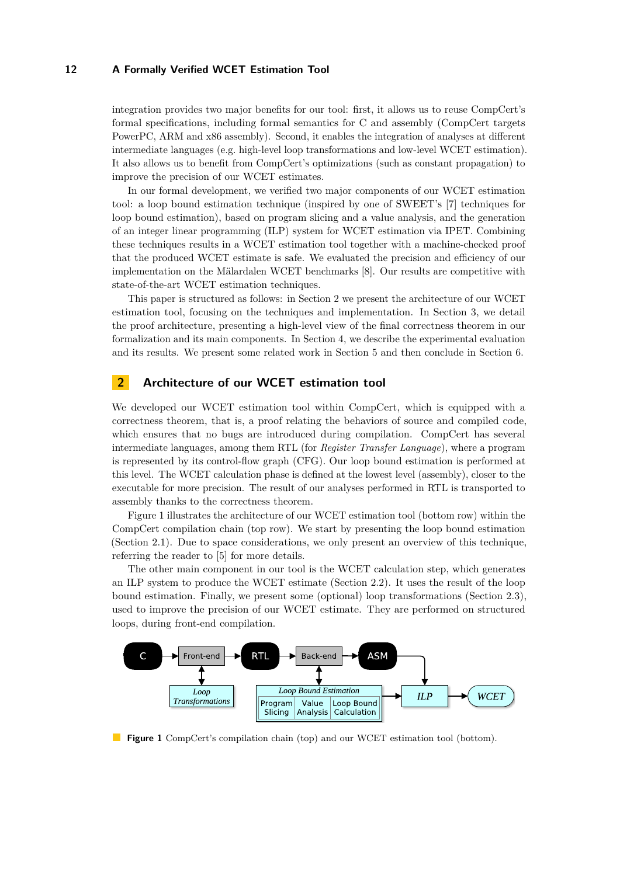integration provides two major benefits for our tool: first, it allows us to reuse CompCert's formal specifications, including formal semantics for C and assembly (CompCert targets PowerPC, ARM and x86 assembly). Second, it enables the integration of analyses at different intermediate languages (e.g. high-level loop transformations and low-level WCET estimation). It also allows us to benefit from CompCert's optimizations (such as constant propagation) to improve the precision of our WCET estimates.

In our formal development, we verified two major components of our WCET estimation tool: a loop bound estimation technique (inspired by one of SWEET's [\[7\]](#page-9-4) techniques for loop bound estimation), based on program slicing and a value analysis, and the generation of an integer linear programming (ILP) system for WCET estimation via IPET. Combining these techniques results in a WCET estimation tool together with a machine-checked proof that the produced WCET estimate is safe. We evaluated the precision and efficiency of our implementation on the Mälardalen WCET benchmarks [\[8\]](#page-9-5). Our results are competitive with state-of-the-art WCET estimation techniques.

This paper is structured as follows: in Section [2](#page-1-0) we present the architecture of our WCET estimation tool, focusing on the techniques and implementation. In Section [3,](#page-3-0) we detail the proof architecture, presenting a high-level view of the final correctness theorem in our formalization and its main components. In Section [4,](#page-7-0) we describe the experimental evaluation and its results. We present some related work in Section [5](#page-8-0) and then conclude in Section [6.](#page-9-6)

# <span id="page-1-0"></span>**2 Architecture of our WCET estimation tool**

We developed our WCET estimation tool within CompCert, which is equipped with a correctness theorem, that is, a proof relating the behaviors of source and compiled code, which ensures that no bugs are introduced during compilation. CompCert has several intermediate languages, among them RTL (for *Register Transfer Language*), where a program is represented by its control-flow graph (CFG). Our loop bound estimation is performed at this level. The WCET calculation phase is defined at the lowest level (assembly), closer to the executable for more precision. The result of our analyses performed in RTL is transported to assembly thanks to the correctness theorem.

Figure [1](#page-1-1) illustrates the architecture of our WCET estimation tool (bottom row) within the CompCert compilation chain (top row). We start by presenting the loop bound estimation (Section [2.1\)](#page-2-0). Due to space considerations, we only present an overview of this technique, referring the reader to [\[5\]](#page-9-0) for more details.

The other main component in our tool is the WCET calculation step, which generates an ILP system to produce the WCET estimate (Section [2.2\)](#page-2-1). It uses the result of the loop bound estimation. Finally, we present some (optional) loop transformations (Section [2.3\)](#page-3-1), used to improve the precision of our WCET estimate. They are performed on structured loops, during front-end compilation.

<span id="page-1-1"></span>

**Figure 1** CompCert's compilation chain (top) and our WCET estimation tool (bottom).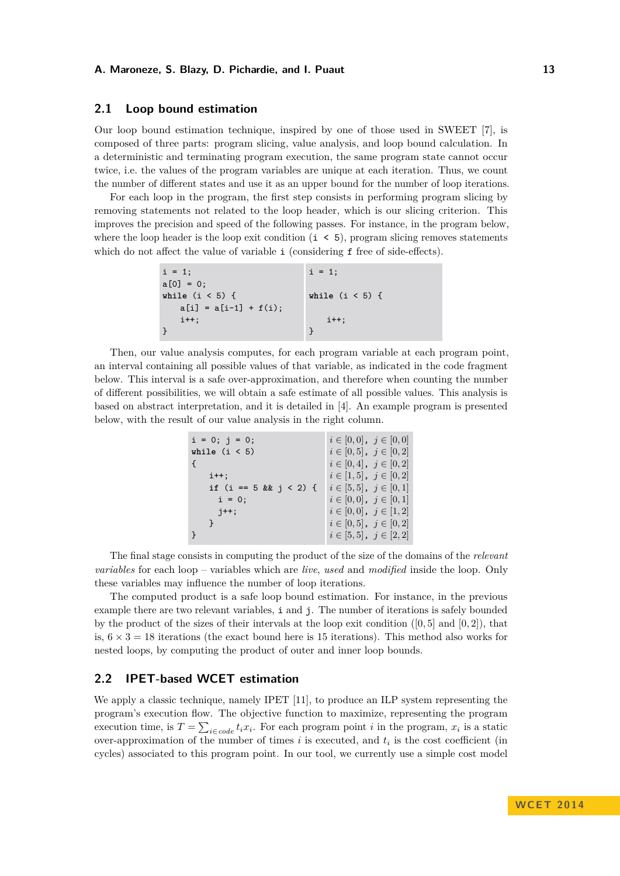## <span id="page-2-0"></span>**2.1 Loop bound estimation**

Our loop bound estimation technique, inspired by one of those used in SWEET [\[7\]](#page-9-4), is composed of three parts: program slicing, value analysis, and loop bound calculation. In a deterministic and terminating program execution, the same program state cannot occur twice, i.e. the values of the program variables are unique at each iteration. Thus, we count the number of different states and use it as an upper bound for the number of loop iterations.

For each loop in the program, the first step consists in performing program slicing by removing statements not related to the loop header, which is our slicing criterion. This improves the precision and speed of the following passes. For instance, in the program below, where the loop header is the loop exit condition  $(i < 5)$ , program slicing removes statements which do not affect the value of variable i (considering f free of side-effects).

```
i = 1:
a[0] = 0;while (i < 5) {
   a[i] = a[i-1] + f(i);i++;
}
                               i = 1:
                               while (i < 5) {
                                   i++;
                               }
```
Then, our value analysis computes, for each program variable at each program point, an interval containing all possible values of that variable, as indicated in the code fragment below. This interval is a safe over-approximation, and therefore when counting the number of different possibilities, we will obtain a safe estimate of all possible values. This analysis is based on abstract interpretation, and it is detailed in [\[4\]](#page-9-1). An example program is presented below, with the result of our value analysis in the right column.

| $i = 0; j = 0;$ | $i \in [0,0], j \in [0,0]$    |
|-----------------|-------------------------------|
| while $(i < 5)$ | $i \in [0,5]$ , $j \in [0,2]$ |
|                 | $i \in [0,4], j \in [0,2]$    |
| $i++$ ;         | $i \in [1, 5], j \in [0, 2]$  |
|                 | $i \in [5,5]$ , $j \in [0,1]$ |
| $i = 0;$        | $i \in [0,0], j \in [0,1]$    |
| $j++;$          | $i \in [0,0], j \in [1,2]$    |
|                 | $i \in [0,5]$ , $j \in [0,2]$ |
|                 | $i \in [5,5], j \in [2,2]$    |

The final stage consists in computing the product of the size of the domains of the *relevant variables* for each loop – variables which are *live*, *used* and *modified* inside the loop. Only these variables may influence the number of loop iterations.

The computed product is a safe loop bound estimation. For instance, in the previous example there are two relevant variables, i and i. The number of iterations is safely bounded by the product of the sizes of their intervals at the loop exit condition ([0*,* 5] and [0*,* 2]), that is,  $6 \times 3 = 18$  iterations (the exact bound here is 15 iterations). This method also works for nested loops, by computing the product of outer and inner loop bounds.

# <span id="page-2-1"></span>**2.2 IPET-based WCET estimation**

We apply a classic technique, namely IPET [\[11\]](#page-9-7), to produce an ILP system representing the program's execution flow. The objective function to maximize, representing the program execution time, is  $T = \sum_{i \in code} t_i x_i$ . For each program point *i* in the program,  $x_i$  is a static over-approximation of the number of times *i* is executed, and *t<sup>i</sup>* is the cost coefficient (in cycles) associated to this program point. In our tool, we currently use a simple cost model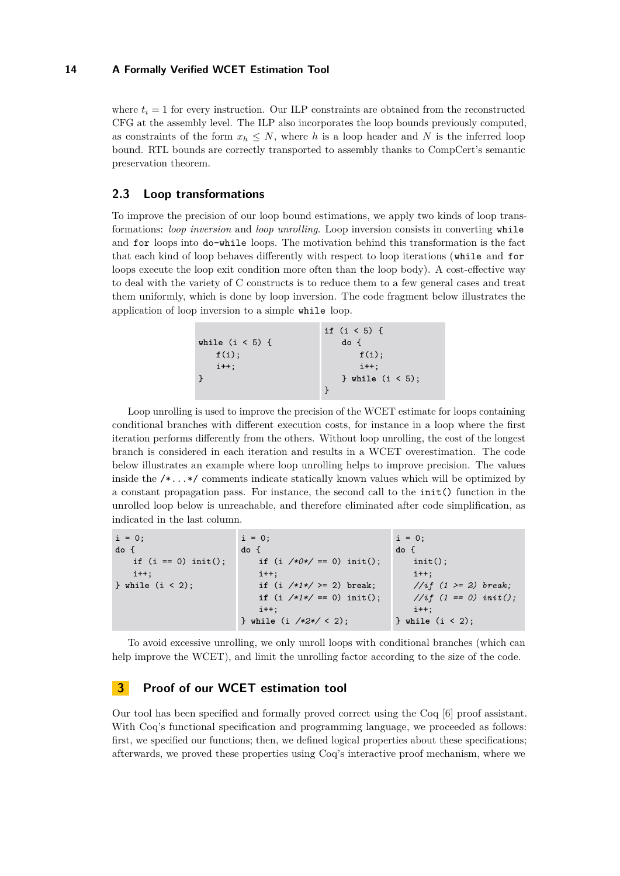where  $t_i = 1$  for every instruction. Our ILP constraints are obtained from the reconstructed CFG at the assembly level. The ILP also incorporates the loop bounds previously computed, as constraints of the form  $x_h \leq N$ , where h is a loop header and N is the inferred loop bound. RTL bounds are correctly transported to assembly thanks to CompCert's semantic preservation theorem.

# <span id="page-3-1"></span>**2.3 Loop transformations**

To improve the precision of our loop bound estimations, we apply two kinds of loop transformations: *loop inversion* and *loop unrolling*. Loop inversion consists in converting while and for loops into do-while loops. The motivation behind this transformation is the fact that each kind of loop behaves differently with respect to loop iterations (while and for loops execute the loop exit condition more often than the loop body). A cost-effective way to deal with the variety of C constructs is to reduce them to a few general cases and treat them uniformly, which is done by loop inversion. The code fragment below illustrates the application of loop inversion to a simple while loop.

|                   | if $(i < 5)$ {      |
|-------------------|---------------------|
| while $(i < 5)$ { | do f                |
| $f(i)$ :          | f(i)                |
| $i++$             | $i++$ :             |
|                   | } while $(i < 5)$ ; |
|                   |                     |

Loop unrolling is used to improve the precision of the WCET estimate for loops containing conditional branches with different execution costs, for instance in a loop where the first iteration performs differently from the others. Without loop unrolling, the cost of the longest branch is considered in each iteration and results in a WCET overestimation. The code below illustrates an example where loop unrolling helps to improve precision. The values inside the /\*...\*/ comments indicate statically known values which will be optimized by a constant propagation pass. For instance, the second call to the init() function in the unrolled loop below is unreachable, and therefore eliminated after code simplification, as indicated in the last column.

| $i = 0$ ;             | $i = 0$ ;                                    | $i = 0$ ;               |
|-----------------------|----------------------------------------------|-------------------------|
| do f                  | do {                                         | do f                    |
| if $(i == 0)$ init(); | if $(i \ \frac{\sqrt{*0*}}{=} 0)$ init();    | $init()$ ;              |
| $i++$ :               | $i++$ :                                      | $i++$ :                 |
| $}$ while $(i < 2)$ ; | if $(i \t / * 1*/ > = ?)$ break;             | //if $(1 > = 2)$ break; |
|                       | if $(i \ \ x \neq 1 \ * \ f = 0)$ init();    | //if $(1 == 0)$ init(); |
|                       | $i++$ :                                      | $i++$ :                 |
|                       | } while $(i \ \frac{\sqrt{2}x}{\sqrt{2}})$ ; | $}$ while $(i < 2)$ ;   |

To avoid excessive unrolling, we only unroll loops with conditional branches (which can help improve the WCET), and limit the unrolling factor according to the size of the code.

# <span id="page-3-0"></span>**3 Proof of our WCET estimation tool**

Our tool has been specified and formally proved correct using the Coq [\[6\]](#page-9-8) proof assistant. With Coq's functional specification and programming language, we proceeded as follows: first, we specified our functions; then, we defined logical properties about these specifications; afterwards, we proved these properties using Coq's interactive proof mechanism, where we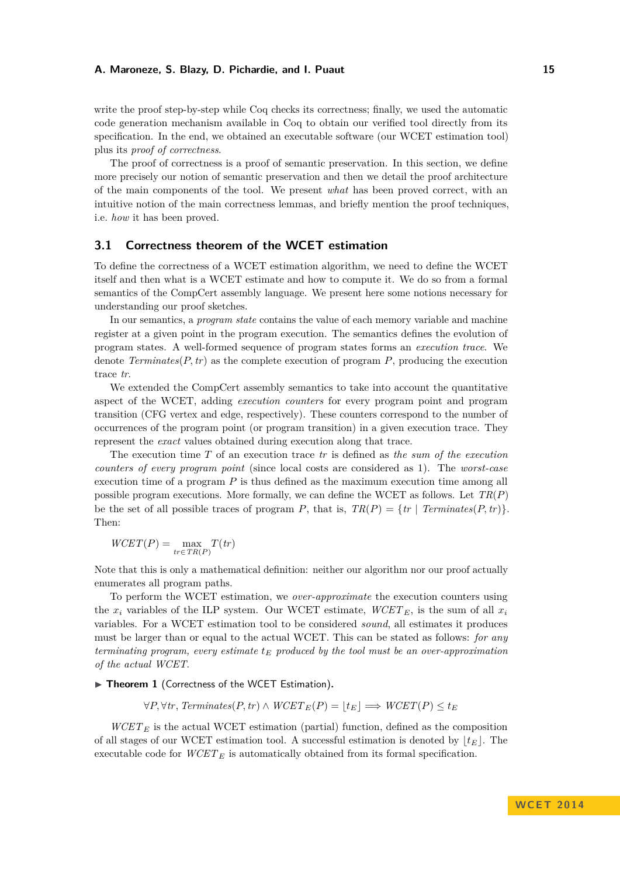write the proof step-by-step while Coq checks its correctness; finally, we used the automatic code generation mechanism available in Coq to obtain our verified tool directly from its specification. In the end, we obtained an executable software (our WCET estimation tool) plus its *proof of correctness*.

The proof of correctness is a proof of semantic preservation. In this section, we define more precisely our notion of semantic preservation and then we detail the proof architecture of the main components of the tool. We present *what* has been proved correct, with an intuitive notion of the main correctness lemmas, and briefly mention the proof techniques, i.e. *how* it has been proved.

# <span id="page-4-0"></span>**3.1 Correctness theorem of the WCET estimation**

To define the correctness of a WCET estimation algorithm, we need to define the WCET itself and then what is a WCET estimate and how to compute it. We do so from a formal semantics of the CompCert assembly language. We present here some notions necessary for understanding our proof sketches.

In our semantics, a *program state* contains the value of each memory variable and machine register at a given point in the program execution. The semantics defines the evolution of program states. A well-formed sequence of program states forms an *execution trace*. We denote *Terminates*( $P$ ,  $tr$ ) as the complete execution of program  $P$ , producing the execution trace *tr*.

We extended the CompCert assembly semantics to take into account the quantitative aspect of the WCET, adding *execution counters* for every program point and program transition (CFG vertex and edge, respectively). These counters correspond to the number of occurrences of the program point (or program transition) in a given execution trace. They represent the *exact* values obtained during execution along that trace.

The execution time *T* of an execution trace *tr* is defined as *the sum of the execution counters of every program point* (since local costs are considered as 1). The *worst-case* execution time of a program *P* is thus defined as the maximum execution time among all possible program executions. More formally, we can define the WCET as follows. Let *TR*(*P*) be the set of all possible traces of program *P*, that is,  $TR(P) = \{tr \mid Terminates(P, tr)\}.$ Then:

$$
WGET(P) = \max_{tr \in \, TR(P)} T(tr)
$$

Note that this is only a mathematical definition: neither our algorithm nor our proof actually enumerates all program paths.

To perform the WCET estimation, we *over-approximate* the execution counters using the  $x_i$  variables of the ILP system. Our WCET estimate,  $WCET_E$ , is the sum of all  $x_i$ variables. For a WCET estimation tool to be considered *sound*, all estimates it produces must be larger than or equal to the actual WCET. This can be stated as follows: *for any terminating program, every estimate t<sup>E</sup> produced by the tool must be an over-approximation of the actual WCET*.

▶ Theorem 1 (Correctness of the WCET Estimation).

 $\forall P, \forall tr, \text{Terminates}(P, tr) \land \text{WCEPT}_E(P) = |t_E| \implies \text{WGET}(P) \leq t_E$ 

 $WCEPT_E$  is the actual WCET estimation (partial) function, defined as the composition of all stages of our WCET estimation tool. A successful estimation is denoted by  $|t_E|$ . The executable code for  $WCET_E$  is automatically obtained from its formal specification.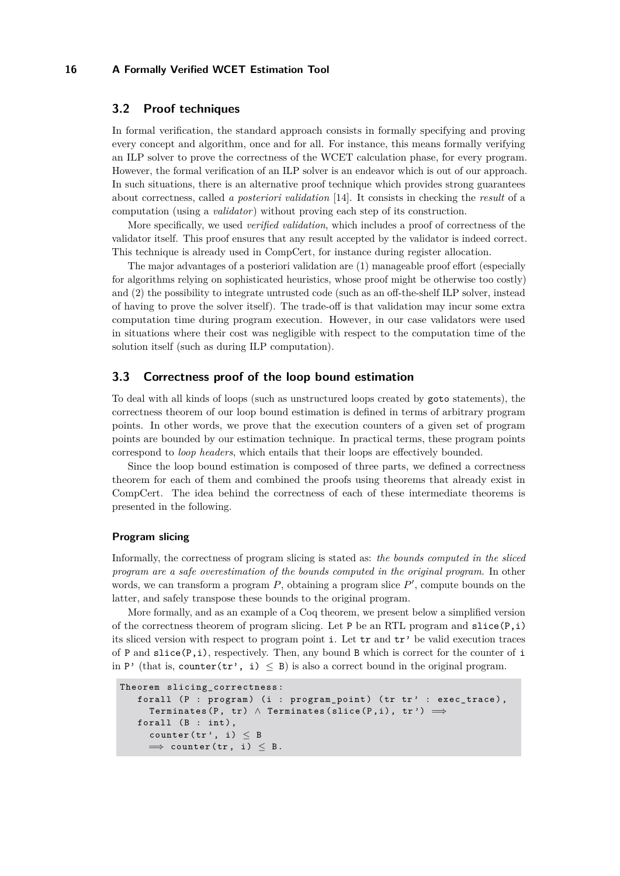## <span id="page-5-0"></span>**3.2 Proof techniques**

In formal verification, the standard approach consists in formally specifying and proving every concept and algorithm, once and for all. For instance, this means formally verifying an ILP solver to prove the correctness of the WCET calculation phase, for every program. However, the formal verification of an ILP solver is an endeavor which is out of our approach. In such situations, there is an alternative proof technique which provides strong guarantees about correctness, called *a posteriori validation* [\[14\]](#page-9-9). It consists in checking the *result* of a computation (using a *validator*) without proving each step of its construction.

More specifically, we used *verified validation*, which includes a proof of correctness of the validator itself. This proof ensures that any result accepted by the validator is indeed correct. This technique is already used in CompCert, for instance during register allocation.

The major advantages of a posteriori validation are (1) manageable proof effort (especially for algorithms relying on sophisticated heuristics, whose proof might be otherwise too costly) and (2) the possibility to integrate untrusted code (such as an off-the-shelf ILP solver, instead of having to prove the solver itself). The trade-off is that validation may incur some extra computation time during program execution. However, in our case validators were used in situations where their cost was negligible with respect to the computation time of the solution itself (such as during ILP computation).

## **3.3 Correctness proof of the loop bound estimation**

To deal with all kinds of loops (such as unstructured loops created by goto statements), the correctness theorem of our loop bound estimation is defined in terms of arbitrary program points. In other words, we prove that the execution counters of a given set of program points are bounded by our estimation technique. In practical terms, these program points correspond to *loop headers*, which entails that their loops are effectively bounded.

Since the loop bound estimation is composed of three parts, we defined a correctness theorem for each of them and combined the proofs using theorems that already exist in CompCert. The idea behind the correctness of each of these intermediate theorems is presented in the following.

### **Program slicing**

Informally, the correctness of program slicing is stated as: *the bounds computed in the sliced program are a safe overestimation of the bounds computed in the original program*. In other words, we can transform a program  $P$ , obtaining a program slice  $P'$ , compute bounds on the latter, and safely transpose these bounds to the original program.

More formally, and as an example of a Coq theorem, we present below a simplified version of the correctness theorem of program slicing. Let P be an RTL program and  $slice(P, i)$ its sliced version with respect to program point i. Let tr and tr' be valid execution traces of P and  $\text{slice}(P, i)$ , respectively. Then, any bound B which is correct for the counter of i in P' (that is, counter  $(tr', i) \leq B$ ) is also a correct bound in the original program.

```
Theorem slicing_correctness :
   forall (P : program) (i : program_point) (tr tr' : exec_trace),
     Terminates (P, tr) \land Terminates (slice (P, i), tr') \impliesforall (B : int),
     counter (tr', i) < B\implies counter (tr, i) \leq B.
```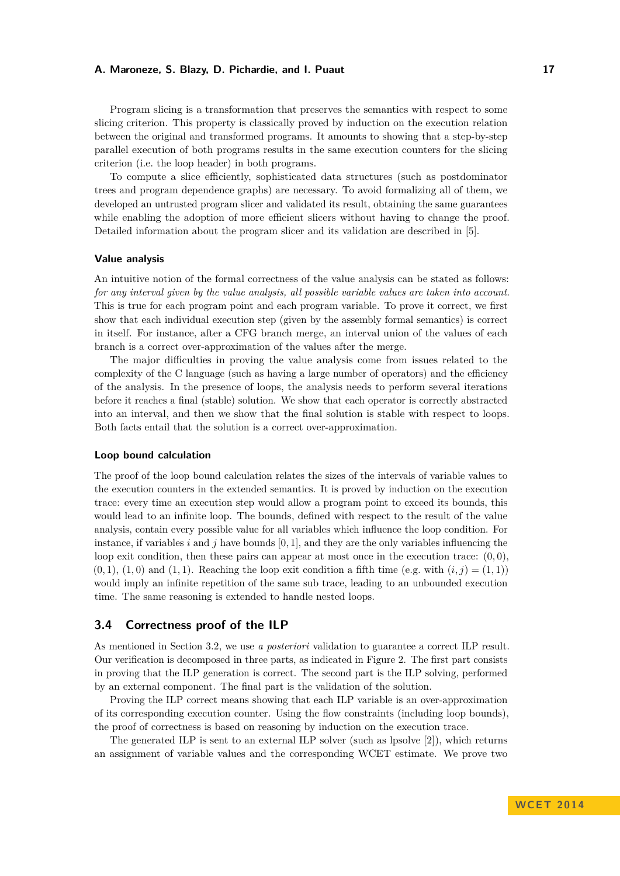Program slicing is a transformation that preserves the semantics with respect to some slicing criterion. This property is classically proved by induction on the execution relation between the original and transformed programs. It amounts to showing that a step-by-step parallel execution of both programs results in the same execution counters for the slicing criterion (i.e. the loop header) in both programs.

To compute a slice efficiently, sophisticated data structures (such as postdominator trees and program dependence graphs) are necessary. To avoid formalizing all of them, we developed an untrusted program slicer and validated its result, obtaining the same guarantees while enabling the adoption of more efficient slicers without having to change the proof. Detailed information about the program slicer and its validation are described in [\[5\]](#page-9-0).

#### **Value analysis**

An intuitive notion of the formal correctness of the value analysis can be stated as follows: *for any interval given by the value analysis, all possible variable values are taken into account*. This is true for each program point and each program variable. To prove it correct, we first show that each individual execution step (given by the assembly formal semantics) is correct in itself. For instance, after a CFG branch merge, an interval union of the values of each branch is a correct over-approximation of the values after the merge.

The major difficulties in proving the value analysis come from issues related to the complexity of the C language (such as having a large number of operators) and the efficiency of the analysis. In the presence of loops, the analysis needs to perform several iterations before it reaches a final (stable) solution. We show that each operator is correctly abstracted into an interval, and then we show that the final solution is stable with respect to loops. Both facts entail that the solution is a correct over-approximation.

#### **Loop bound calculation**

The proof of the loop bound calculation relates the sizes of the intervals of variable values to the execution counters in the extended semantics. It is proved by induction on the execution trace: every time an execution step would allow a program point to exceed its bounds, this would lead to an infinite loop. The bounds, defined with respect to the result of the value analysis, contain every possible value for all variables which influence the loop condition. For instance, if variables  $i$  and  $j$  have bounds  $[0, 1]$ , and they are the only variables influencing the loop exit condition, then these pairs can appear at most once in the execution trace:  $(0,0)$ ,  $(0,1), (1,0)$  and  $(1,1)$ . Reaching the loop exit condition a fifth time (e.g. with  $(i,j) = (1,1)$ ) would imply an infinite repetition of the same sub trace, leading to an unbounded execution time. The same reasoning is extended to handle nested loops.

## **3.4 Correctness proof of the ILP**

As mentioned in Section [3.2,](#page-5-0) we use *a posteriori* validation to guarantee a correct ILP result. Our verification is decomposed in three parts, as indicated in Figure [2.](#page-7-1) The first part consists in proving that the ILP generation is correct. The second part is the ILP solving, performed by an external component. The final part is the validation of the solution.

Proving the ILP correct means showing that each ILP variable is an over-approximation of its corresponding execution counter. Using the flow constraints (including loop bounds), the proof of correctness is based on reasoning by induction on the execution trace.

The generated ILP is sent to an external ILP solver (such as lpsolve  $[2]$ ), which returns an assignment of variable values and the corresponding WCET estimate. We prove two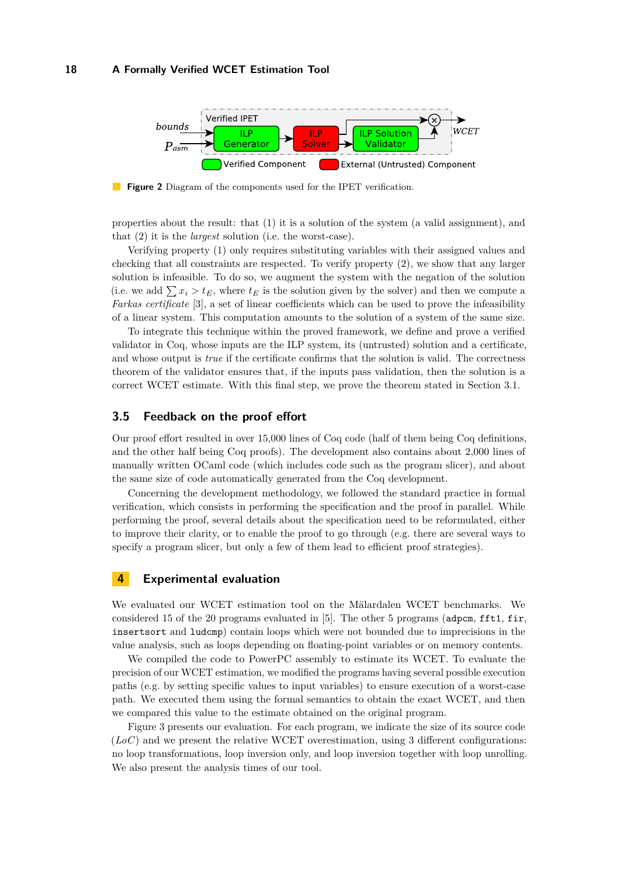<span id="page-7-1"></span>

**Figure 2** Diagram of the components used for the IPET verification.

properties about the result: that (1) it is a solution of the system (a valid assignment), and that (2) it is the *largest* solution (i.e. the worst-case).

Verifying property (1) only requires substituting variables with their assigned values and checking that all constraints are respected. To verify property (2), we show that any larger solution is infeasible. To do so, we augment the system with the negation of the solution (i.e. we add  $\sum x_i > t_E$ , where  $t_E$  is the solution given by the solver) and then we compute a *Farkas certificate* [\[3\]](#page-9-11), a set of linear coefficients which can be used to prove the infeasibility of a linear system. This computation amounts to the solution of a system of the same size.

To integrate this technique within the proved framework, we define and prove a verified validator in Coq, whose inputs are the ILP system, its (untrusted) solution and a certificate, and whose output is *true* if the certificate confirms that the solution is valid. The correctness theorem of the validator ensures that, if the inputs pass validation, then the solution is a correct WCET estimate. With this final step, we prove the theorem stated in Section [3.1.](#page-4-0)

### **3.5 Feedback on the proof effort**

Our proof effort resulted in over 15,000 lines of Coq code (half of them being Coq definitions, and the other half being Coq proofs). The development also contains about 2,000 lines of manually written OCaml code (which includes code such as the program slicer), and about the same size of code automatically generated from the Coq development.

Concerning the development methodology, we followed the standard practice in formal verification, which consists in performing the specification and the proof in parallel. While performing the proof, several details about the specification need to be reformulated, either to improve their clarity, or to enable the proof to go through (e.g. there are several ways to specify a program slicer, but only a few of them lead to efficient proof strategies).

## <span id="page-7-0"></span>**4 Experimental evaluation**

We evaluated our WCET estimation tool on the Mälardalen WCET benchmarks. We considered 15 of the 20 programs evaluated in  $[5]$ . The other 5 programs (adpcm, fft1, fir, insertsort and ludcmp) contain loops which were not bounded due to imprecisions in the value analysis, such as loops depending on floating-point variables or on memory contents.

We compiled the code to PowerPC assembly to estimate its WCET. To evaluate the precision of our WCET estimation, we modified the programs having several possible execution paths (e.g. by setting specific values to input variables) to ensure execution of a worst-case path. We executed them using the formal semantics to obtain the exact WCET, and then we compared this value to the estimate obtained on the original program.

Figure [3](#page-8-1) presents our evaluation. For each program, we indicate the size of its source code  $(LoC)$  and we present the relative WCET overestimation, using 3 different configurations: no loop transformations, loop inversion only, and loop inversion together with loop unrolling. We also present the analysis times of our tool.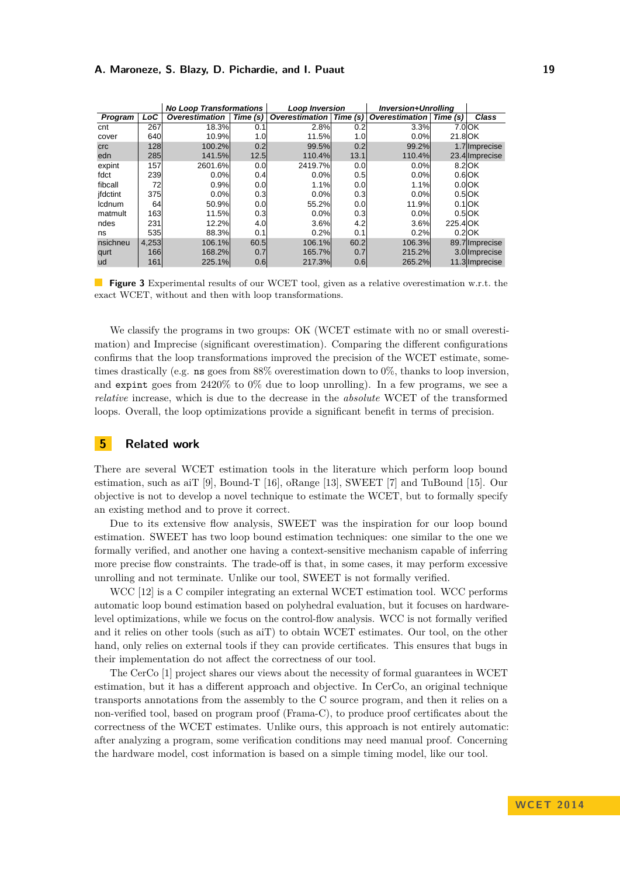<span id="page-8-1"></span>

|            |       | <b>No Loop Transformations</b> |          | <b>Loop Inversion</b> |          | <b>Inversion+Unrollina</b> |          |                |
|------------|-------|--------------------------------|----------|-----------------------|----------|----------------------------|----------|----------------|
| Program    | LoC   | <b>Overestimation</b>          | Time (s) | <b>Overestimation</b> | Time (s) | <b>Overestimation</b>      | Time (s) | Class          |
| cnt        | 267   | 18.3%                          | 0.1      | 2.8%                  | 0.2      | 3.3%                       |          | $7.0$ OK       |
| cover      | 640   | 10.9%                          | 1.0      | 11.5%                 | 1.0      | 0.0%                       | 21.8 OK  |                |
| <b>crc</b> | 128   | 100.2%                         | 0.2      | 99.5%                 | 0.2      | 99.2%                      |          | 1.7 Imprecise  |
| edn        | 285   | 141.5%                         | 12.5     | 110.4%                | 13.1     | 110.4%                     |          | 23.4 Imprecise |
| expint     | 157   | 2601.6%                        | 0.0      | 2419.7%               | 0.0      | 0.0%                       |          | 8.2 OK         |
| fdct       | 239   | 0.0%                           | 0.4      | 0.0%                  | 0.5      | 0.0%                       |          | $0.6$ OK       |
| fibcall    | 72    | 0.9%                           | 0.0      | 1.1%                  | 0.0      | 1.1%                       |          | $0.0$ OK       |
| ifdctint   | 375   | 0.0%                           | 0.3      | 0.0%                  | 0.3      | 0.0%                       |          | $0.5$ OK       |
| Icdnum     | 64    | 50.9%                          | 0.0      | 55.2%                 | 0.0      | 11.9%                      |          | $0.1$ OK       |
| matmult    | 163   | 11.5%                          | 0.3      | 0.0%                  | 0.3      | 0.0%                       |          | $0.5$ OK       |
| ndes       | 231   | 12.2%                          | 4.0      | 3.6%                  | 4.2      | 3.6%                       | 225.4 OK |                |
| ns         | 535   | 88.3%                          | 0.1      | 0.2%                  | 0.1      | 0.2%                       |          | $0.2$ OK       |
| nsichneu   | 4,253 | 106.1%                         | 60.5     | 106.1%                | 60.2     | 106.3%                     |          | 89.7 Imprecise |
| qurt       | 166   | 168.2%                         | 0.7      | 165.7%                | 0.7      | 215.2%                     |          | 3.0 Imprecise  |
| ud         | 161   | 225.1%                         | 0.6      | 217.3%                | 0.6      | 265.2%                     |          | 11.3 Imprecise |

**Figure 3** Experimental results of our WCET tool, given as a relative overestimation w.r.t. the exact WCET, without and then with loop transformations.

We classify the programs in two groups: OK (WCET estimate with no or small overestimation) and Imprecise (significant overestimation). Comparing the different configurations confirms that the loop transformations improved the precision of the WCET estimate, sometimes drastically (e.g. ns goes from 88% overestimation down to 0%, thanks to loop inversion, and expint goes from 2420% to 0% due to loop unrolling). In a few programs, we see a *relative* increase, which is due to the decrease in the *absolute* WCET of the transformed loops. Overall, the loop optimizations provide a significant benefit in terms of precision.

## <span id="page-8-0"></span>**5 Related work**

There are several WCET estimation tools in the literature which perform loop bound estimation, such as aiT [\[9\]](#page-9-12), Bound-T [\[16\]](#page-9-13), oRange [\[13\]](#page-9-14), SWEET [\[7\]](#page-9-4) and TuBound [\[15\]](#page-9-15). Our objective is not to develop a novel technique to estimate the WCET, but to formally specify an existing method and to prove it correct.

Due to its extensive flow analysis, SWEET was the inspiration for our loop bound estimation. SWEET has two loop bound estimation techniques: one similar to the one we formally verified, and another one having a context-sensitive mechanism capable of inferring more precise flow constraints. The trade-off is that, in some cases, it may perform excessive unrolling and not terminate. Unlike our tool, SWEET is not formally verified.

WCC [\[12\]](#page-9-16) is a C compiler integrating an external WCET estimation tool. WCC performs automatic loop bound estimation based on polyhedral evaluation, but it focuses on hardwarelevel optimizations, while we focus on the control-flow analysis. WCC is not formally verified and it relies on other tools (such as aiT) to obtain WCET estimates. Our tool, on the other hand, only relies on external tools if they can provide certificates. This ensures that bugs in their implementation do not affect the correctness of our tool.

The CerCo [\[1\]](#page-9-17) project shares our views about the necessity of formal guarantees in WCET estimation, but it has a different approach and objective. In CerCo, an original technique transports annotations from the assembly to the C source program, and then it relies on a non-verified tool, based on program proof (Frama-C), to produce proof certificates about the correctness of the WCET estimates. Unlike ours, this approach is not entirely automatic: after analyzing a program, some verification conditions may need manual proof. Concerning the hardware model, cost information is based on a simple timing model, like our tool.